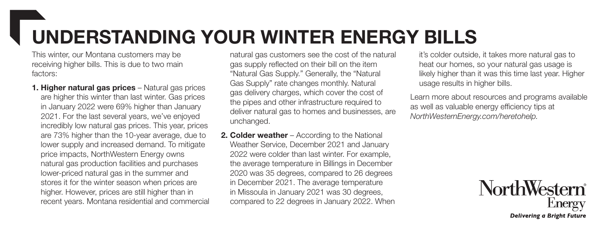# UNDERSTANDING YOUR WINTER ENERGY BILLS

This winter, our Montana customers may be receiving higher bills. This is due to two main factors:

1. Higher natural gas prices - Natural gas prices are higher this winter than last winter. Gas prices in January 2022 were 69% higher than January 2021. For the last several years, we've enjoyed incredibly low natural gas prices. This year, prices are 73% higher than the 10-year average, due to lower supply and increased demand. To mitigate price impacts, NorthWestern Energy owns natural gas production facilities and purchases lower-priced natural gas in the summer and stores it for the winter season when prices are higher. However, prices are still higher than in recent years. Montana residential and commercial natural gas customers see the cost of the natural gas supply reflected on their bill on the item "Natural Gas Supply." Generally, the "Natural Gas Supply" rate changes monthly. Natural gas delivery charges, which cover the cost of the pipes and other infrastructure required to deliver natural gas to homes and businesses, are unchanged.

2. Colder weather – According to the National Weather Service, December 2021 and January 2022 were colder than last winter. For example, the average temperature in Billings in December 2020 was 35 degrees, compared to 26 degrees in December 2021. The average temperature in Missoula in January 2021 was 30 degrees, compared to 22 degrees in January 2022. When it's colder outside, it takes more natural gas to heat our homes, so your natural gas usage is likely higher than it was this time last year. Higher usage results in higher bills.

Learn more about resources and programs available as well as valuable energy efficiency tips at *NorthWesternEnergy.com/heretohelp.*